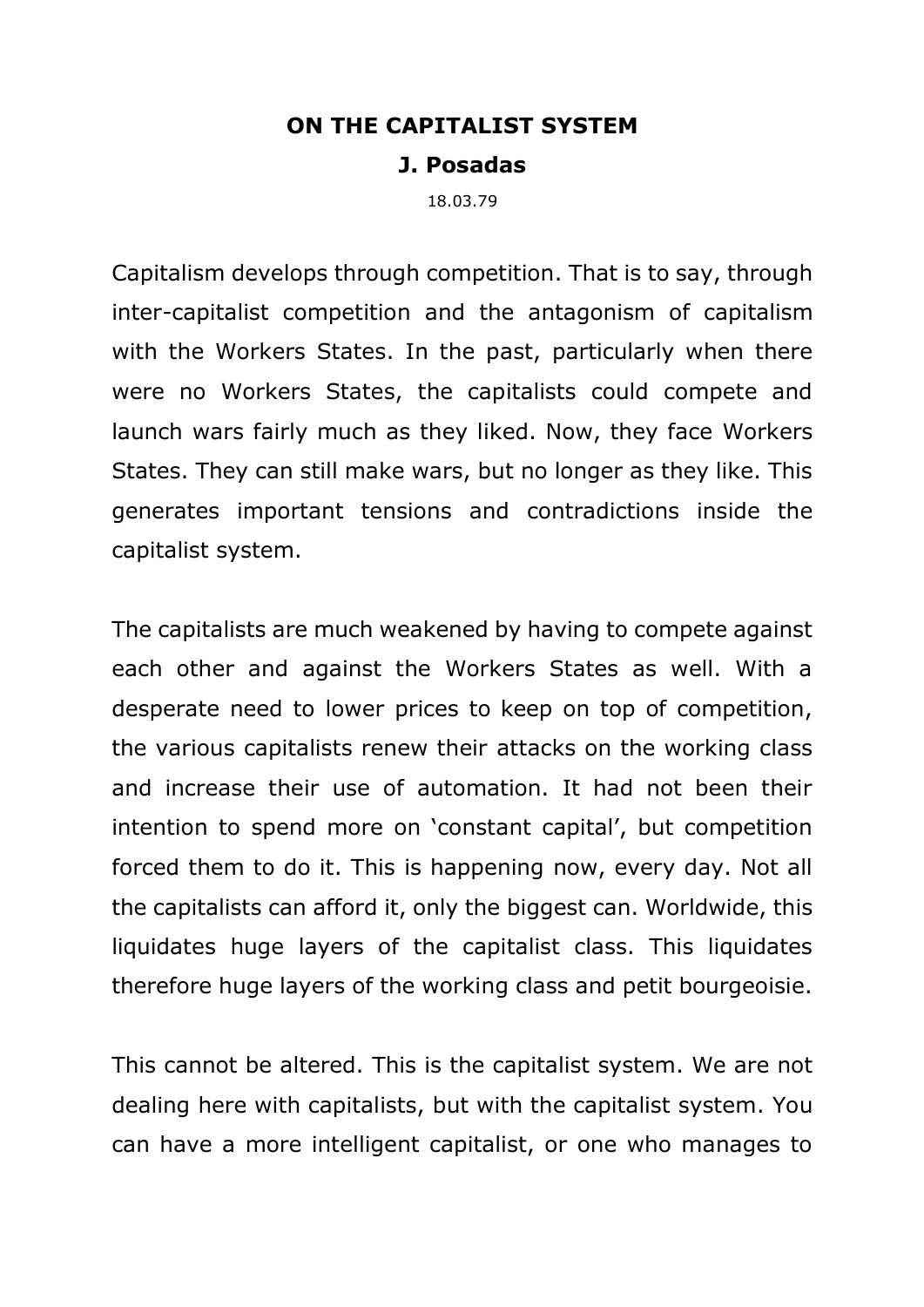## **ON THE CAPITALIST SYSTEM**

## **J. Posadas**

18.03.79

Capitalism develops through competition. That is to say, through inter-capitalist competition and the antagonism of capitalism with the Workers States. In the past, particularly when there were no Workers States, the capitalists could compete and launch wars fairly much as they liked. Now, they face Workers States. They can still make wars, but no longer as they like. This generates important tensions and contradictions inside the capitalist system.

The capitalists are much weakened by having to compete against each other and against the Workers States as well. With a desperate need to lower prices to keep on top of competition, the various capitalists renew their attacks on the working class and increase their use of automation. It had not been their intention to spend more on 'constant capital', but competition forced them to do it. This is happening now, every day. Not all the capitalists can afford it, only the biggest can. Worldwide, this liquidates huge layers of the capitalist class. This liquidates therefore huge layers of the working class and petit bourgeoisie.

This cannot be altered. This is the capitalist system. We are not dealing here with capitalists, but with the capitalist system. You can have a more intelligent capitalist, or one who manages to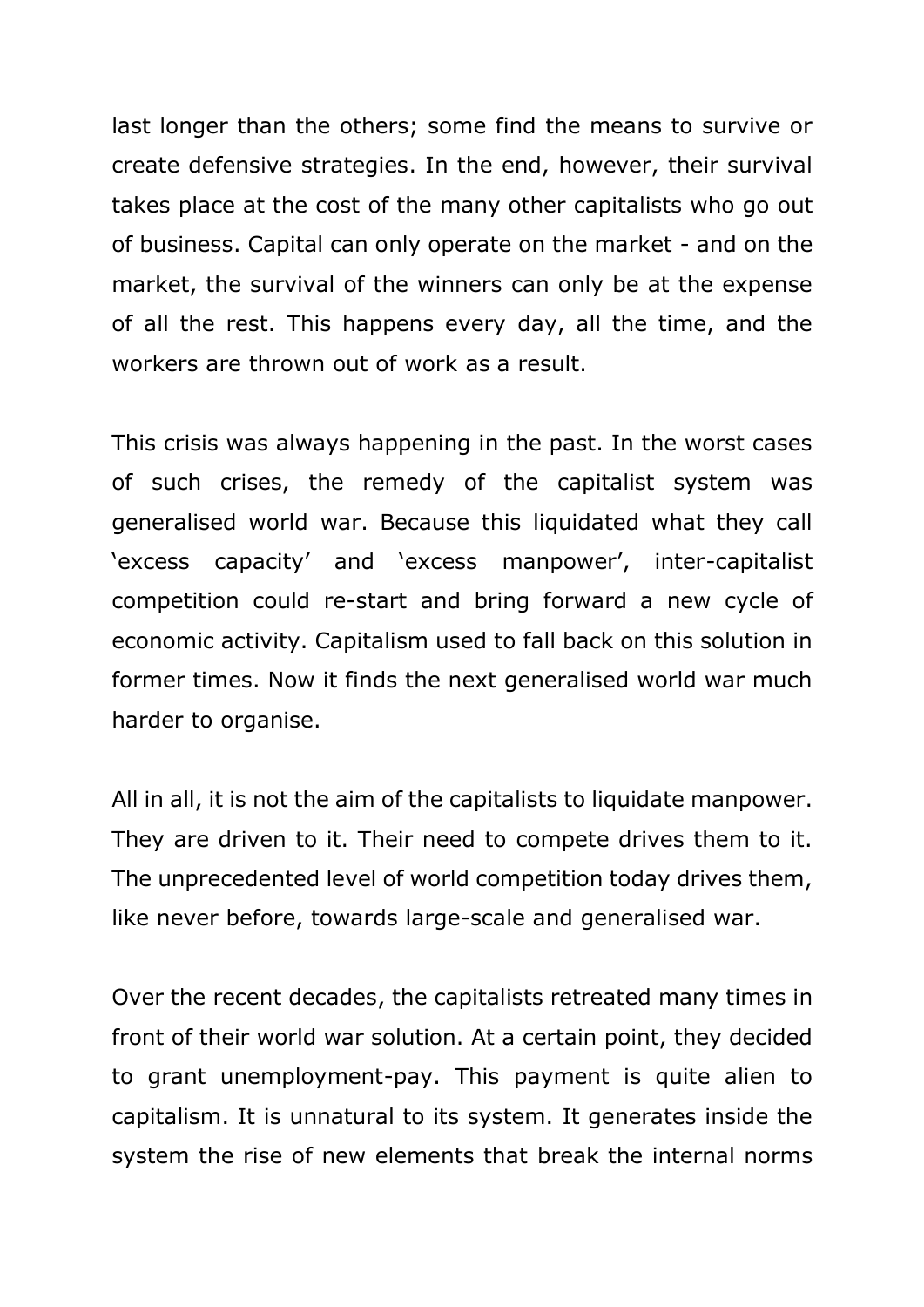last longer than the others; some find the means to survive or create defensive strategies. In the end, however, their survival takes place at the cost of the many other capitalists who go out of business. Capital can only operate on the market - and on the market, the survival of the winners can only be at the expense of all the rest. This happens every day, all the time, and the workers are thrown out of work as a result.

This crisis was always happening in the past. In the worst cases of such crises, the remedy of the capitalist system was generalised world war. Because this liquidated what they call 'excess capacity' and 'excess manpower', inter-capitalist competition could re-start and bring forward a new cycle of economic activity. Capitalism used to fall back on this solution in former times. Now it finds the next generalised world war much harder to organise.

All in all, it is not the aim of the capitalists to liquidate manpower. They are driven to it. Their need to compete drives them to it. The unprecedented level of world competition today drives them, like never before, towards large-scale and generalised war.

Over the recent decades, the capitalists retreated many times in front of their world war solution. At a certain point, they decided to grant unemployment-pay. This payment is quite alien to capitalism. It is unnatural to its system. It generates inside the system the rise of new elements that break the internal norms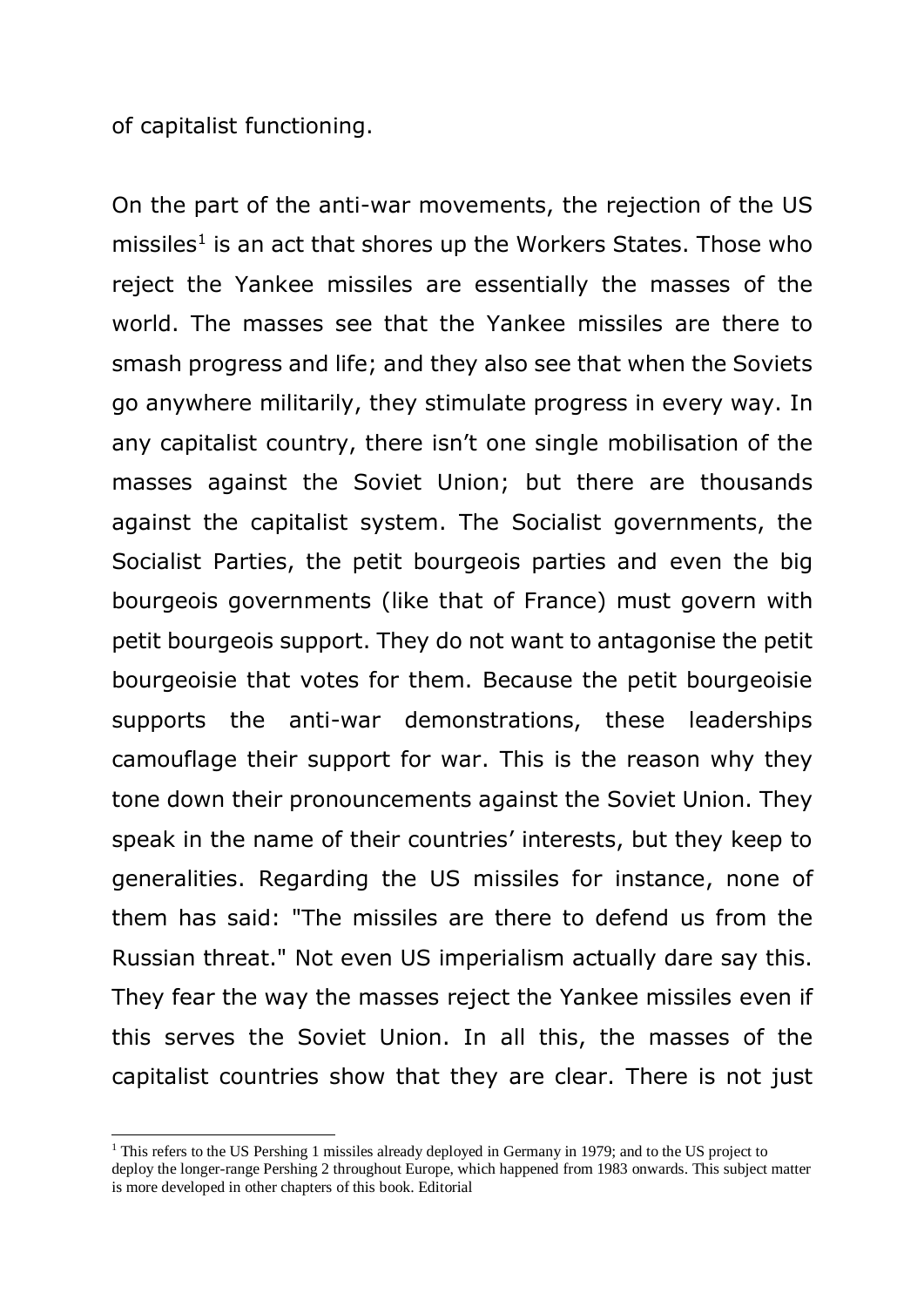of capitalist functioning.

 $\overline{a}$ 

On the part of the anti-war movements, the rejection of the US missiles<sup>1</sup> is an act that shores up the Workers States. Those who reject the Yankee missiles are essentially the masses of the world. The masses see that the Yankee missiles are there to smash progress and life; and they also see that when the Soviets go anywhere militarily, they stimulate progress in every way. In any capitalist country, there isn't one single mobilisation of the masses against the Soviet Union; but there are thousands against the capitalist system. The Socialist governments, the Socialist Parties, the petit bourgeois parties and even the big bourgeois governments (like that of France) must govern with petit bourgeois support. They do not want to antagonise the petit bourgeoisie that votes for them. Because the petit bourgeoisie supports the anti-war demonstrations, these leaderships camouflage their support for war. This is the reason why they tone down their pronouncements against the Soviet Union. They speak in the name of their countries' interests, but they keep to generalities. Regarding the US missiles for instance, none of them has said: "The missiles are there to defend us from the Russian threat." Not even US imperialism actually dare say this. They fear the way the masses reject the Yankee missiles even if this serves the Soviet Union. In all this, the masses of the capitalist countries show that they are clear. There is not just

<sup>&</sup>lt;sup>1</sup> This refers to the US Pershing 1 missiles already deployed in Germany in 1979; and to the US project to deploy the longer-range Pershing 2 throughout Europe, which happened from 1983 onwards. This subject matter is more developed in other chapters of this book. Editorial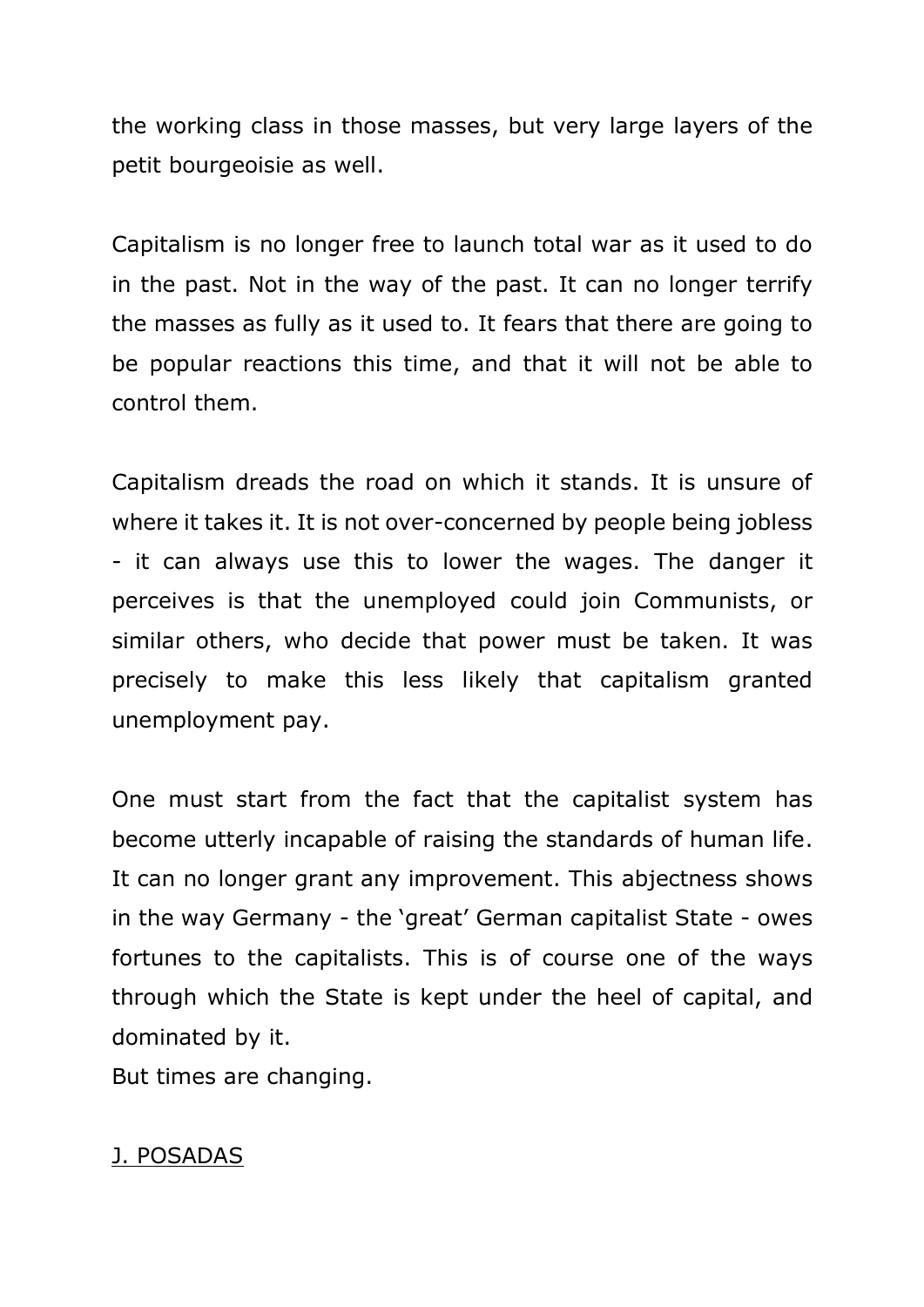the working class in those masses, but very large layers of the petit bourgeoisie as well.

Capitalism is no longer free to launch total war as it used to do in the past. Not in the way of the past. It can no longer terrify the masses as fully as it used to. It fears that there are going to be popular reactions this time, and that it will not be able to control them.

Capitalism dreads the road on which it stands. It is unsure of where it takes it. It is not over-concerned by people being jobless - it can always use this to lower the wages. The danger it perceives is that the unemployed could join Communists, or similar others, who decide that power must be taken. It was precisely to make this less likely that capitalism granted unemployment pay.

One must start from the fact that the capitalist system has become utterly incapable of raising the standards of human life. It can no longer grant any improvement. This abjectness shows in the way Germany - the 'great' German capitalist State - owes fortunes to the capitalists. This is of course one of the ways through which the State is kept under the heel of capital, and dominated by it.

But times are changing.

## J. POSADAS